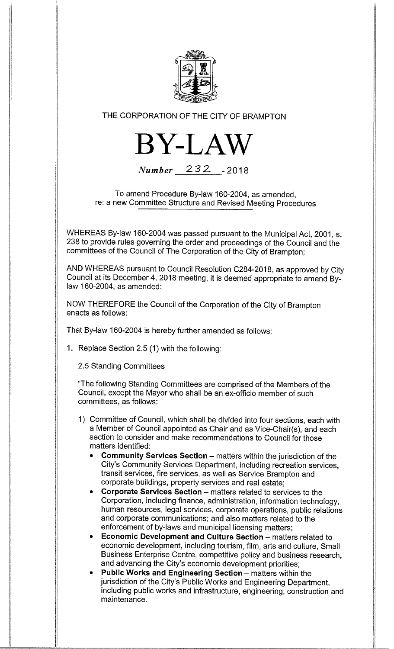

THE CORPORATION OF THE CITY OF BRAMPTON



Number 232 -2018

To amend Procedure By-law 160-2004, as amended, re: a new Committee Structure and Revised Meeting Procedures

WHEREAS By-law 160-2004 was passed pursuant to the Municipal Act, 2001, s. 238 to provide rules governing the order and proceedings of the Council and the committees of the Council of The Corporation of the City of Brampton;

AND WHEREAS pursuant to Council Resolution C284-2018, as approved by City Council at its December 4, 2018 meeting, it is deemed appropriate to amend Bylaw 160-2004, as amended;

NOW THEREFORE the Council of the Corporation of the City of Brampton enacts as follows:

That By-law 160-2004 is hereby further amended as follows:

1. Replace Section 2.5 (1) with the following:

2.5 Standing Committees

"The following Standing Committees are comprised of the Members of the Council, except the Mayor who shall be an ex-officio member of such committees, as follows:

- 1) Committee of Council, which shall be divided into four sections, each with a Member of Council appointed as Chair and as Vice-Chair(s), and each section to consider and make recommendations to Council for those matters identified:
	- Community Services Section matters within the jurisdiction of the City's Community Services Department, including recreation services, transit services, fire services, as well as Service Brampton and corporate buildings, property services and real estate;
	- Corporate Services Section matters related to services to the Corporation, including finance, administration, information technology, human resources, legal services, corporate operations, public relations and corporate communications; and also matters related to the enforcement of by-laws and municipal licensing matters;
	- Economic Development and Culture Section matters related to economic development, including tourism, film, arts and culture, Small Business Enterprise Centre, competitive policy and business research, and advancing the City's economic development priorities;
	- Public Works and Engineering Section matters within the jurisdiction of the City's Public Works and Engineering Department, including public works and infrastructure, engineering, construction and maintenance.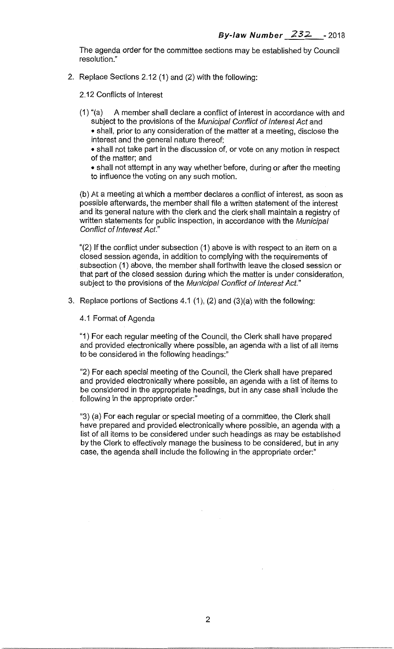The agenda order for the committee sections may be established by Council resolution."

2. Replace Sections 2.12 (1) and (2) with the following:

2.12 Conflicts of Interest

(1) "(a) A member shall declare a conflict of interest in accordance with and subject to the provisions of the Municipal Conflict of Interest Act and • shall, prior to any consideration of the matter at a meeting, disclose the interest and the general nature thereof;

• shall not take part in the discussion of, or vote on any motion in respect of the matter; and

• shall not attempt in any way whether before, during or after the meeting to influence the voting on any such motion.

(b) At a meeting at which a member declares a conflict of interest, as soon as possible afterwards, the member shall file a written statement of the interest and its general nature with the clerk and the clerk shall maintain a registry of written statements for public inspection, in accordance with the Municipal Conflict of Interest Act."

"(2) If the conflict under subsection (1) above is with respect to an item on a closed session agenda, in addition to complying with the requirements of subsection (1) above, the member shall forthwith leave the closed session or that part of the closed session during which the matter is under consideration, subject to the provisions of the Municipal Conflict of Interest Act."

3. Replace portions of Sections 4.1 (1), (2) and (3)(a) with the following:

4.1 Format of Agenda

"1) For each regular meeting of the Council, the Clerk shall have prepared and provided electronically where possible, an agenda with a list of all items to be considered in the following headings:"

"2) For each special meeting of the Council, the Clerk shall have prepared and provided electronically where possible, an agenda with a list of items to be considered in the appropriate headings, but in any case shall include the following in the appropriate order:"

"3) (a) For each regular or special meeting of a committee, the Clerk shall have prepared and provided electronically where possible, an agenda with a list of all items to be considered under such headings as may be established by the Clerk to effectively manage the business to be considered, but in any case, the agenda shall include the following in the appropriate order:"